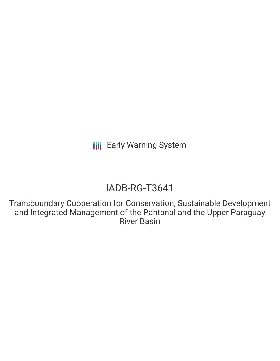# IADB-RG-T3641

Transboundary Cooperation for Conservation, Sustainable Development and Integrated Management of the Pantanal and the Upper Paraguay River Basin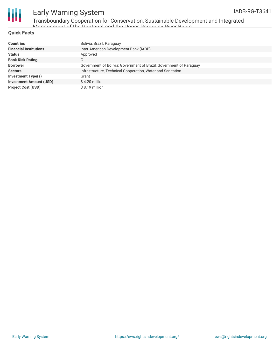

Transboundary Cooperation for Conservation, Sustainable Development and Integrated Management of the Dantanal and the Upper Paraguay <mark>Diver Racin</mark>

### **Quick Facts**

| <b>Countries</b>               | Bolivia, Brazil, Paraguay                                           |
|--------------------------------|---------------------------------------------------------------------|
| <b>Financial Institutions</b>  | Inter-American Development Bank (IADB)                              |
| <b>Status</b>                  | Approved                                                            |
| <b>Bank Risk Rating</b>        | С                                                                   |
| <b>Borrower</b>                | Government of Bolivia; Government of Brazil; Government of Paraguay |
| <b>Sectors</b>                 | Infrastructure, Technical Cooperation, Water and Sanitation         |
| Investment Type(s)             | Grant                                                               |
| <b>Investment Amount (USD)</b> | \$4.20 million                                                      |
| <b>Project Cost (USD)</b>      | $$8.19$ million                                                     |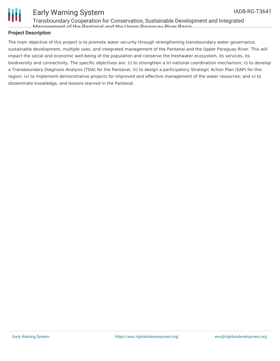

Transboundary Cooperation for Conservation, Sustainable Development and Integrated Management of the Pantanal and the Upper Paraguay River Basin

### **Project Description**

The main objective of this project is to promote water security through strengthening transboundary water governance, sustainable development, multiple uses, and integrated management of the Pantanal and the Upper Paraguay River. This will impact the social and economic well-being of the population and conserve the freshwater ecosystem, its services, its biodiversity and connectivity. The specific objectives are: (i) to strengthen a tri-national coordination mechanism; ii) to develop a Transboundary Diagnosis Analysis (TDA) for the Pantanal; iii) to design a participatory Strategic Action Plan (SAP) for this region; iv) to implement demonstrative projects for improved and effective management of the water resources; and v) to disseminate knowledge, and lessons learned in the Pantanal.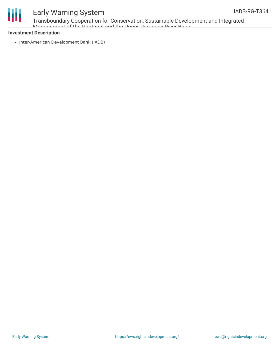

Transboundary Cooperation for Conservation, Sustainable Development and Integrated Management of the Dantanal and the Upper Paraguay <mark>Diver Racin</mark>

### **Investment Description**

• Inter-American Development Bank (IADB)